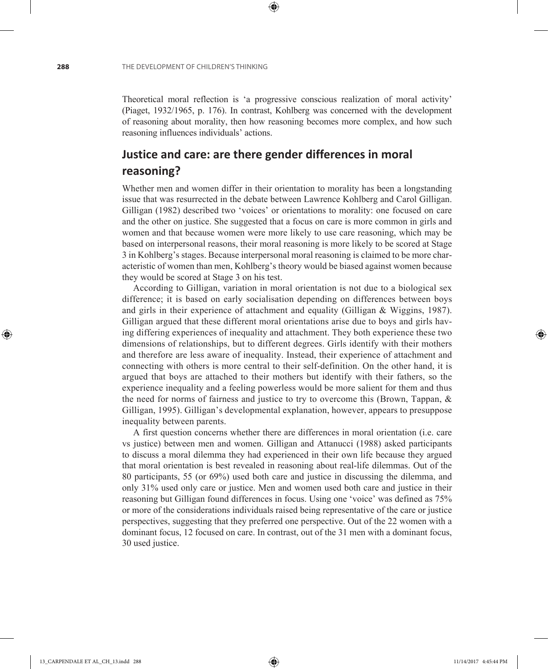Theoretical moral reflection is 'a progressive conscious realization of moral activity' (Piaget, 1932/1965, p. 176). In contrast, Kohlberg was concerned with the development of reasoning about morality, then how reasoning becomes more complex, and how such reasoning influences individuals' actions.

⊕

## **Justice and care: are there gender differences in moral reasoning?**

Whether men and women differ in their orientation to morality has been a longstanding issue that was resurrected in the debate between Lawrence Kohlberg and Carol Gilligan. Gilligan (1982) described two 'voices' or orientations to morality: one focused on care and the other on justice. She suggested that a focus on care is more common in girls and women and that because women were more likely to use care reasoning, which may be based on interpersonal reasons, their moral reasoning is more likely to be scored at Stage 3 in Kohlberg's stages. Because interpersonal moral reasoning is claimed to be more characteristic of women than men, Kohlberg's theory would be biased against women because they would be scored at Stage 3 on his test.

According to Gilligan, variation in moral orientation is not due to a biological sex difference; it is based on early socialisation depending on differences between boys and girls in their experience of attachment and equality (Gilligan & Wiggins, 1987). Gilligan argued that these different moral orientations arise due to boys and girls having differing experiences of inequality and attachment. They both experience these two dimensions of relationships, but to different degrees. Girls identify with their mothers and therefore are less aware of inequality. Instead, their experience of attachment and connecting with others is more central to their self-definition. On the other hand, it is argued that boys are attached to their mothers but identify with their fathers, so the experience inequality and a feeling powerless would be more salient for them and thus the need for norms of fairness and justice to try to overcome this (Brown, Tappan, & Gilligan, 1995). Gilligan's developmental explanation, however, appears to presuppose inequality between parents.

A first question concerns whether there are differences in moral orientation (i.e. care vs justice) between men and women. Gilligan and Attanucci (1988) asked participants to discuss a moral dilemma they had experienced in their own life because they argued that moral orientation is best revealed in reasoning about real-life dilemmas. Out of the 80 participants, 55 (or 69%) used both care and justice in discussing the dilemma, and only 31% used only care or justice. Men and women used both care and justice in their reasoning but Gilligan found differences in focus. Using one 'voice' was defined as 75% or more of the considerations individuals raised being representative of the care or justice perspectives, suggesting that they preferred one perspective. Out of the 22 women with a dominant focus, 12 focused on care. In contrast, out of the 31 men with a dominant focus, 30 used justice.

♠

⊕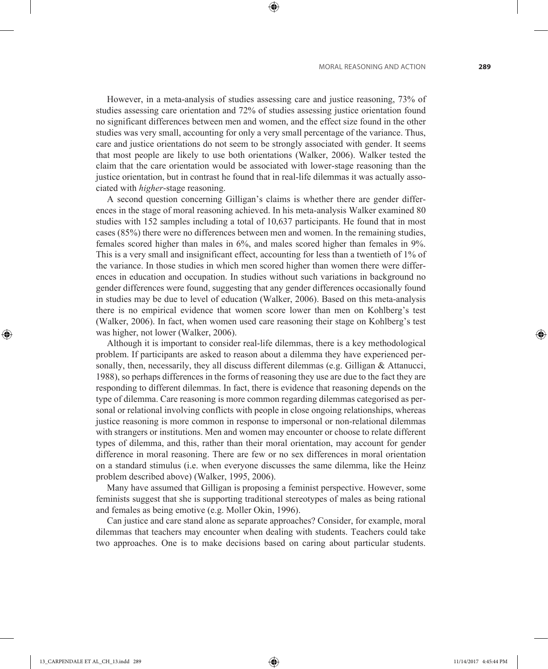However, in a meta-analysis of studies assessing care and justice reasoning, 73% of studies assessing care orientation and 72% of studies assessing justice orientation found no significant differences between men and women, and the effect size found in the other studies was very small, accounting for only a very small percentage of the variance. Thus, care and justice orientations do not seem to be strongly associated with gender. It seems that most people are likely to use both orientations (Walker, 2006). Walker tested the claim that the care orientation would be associated with lower-stage reasoning than the justice orientation, but in contrast he found that in real-life dilemmas it was actually associated with *higher*-stage reasoning.

⊕

A second question concerning Gilligan's claims is whether there are gender differences in the stage of moral reasoning achieved. In his meta-analysis Walker examined 80 studies with 152 samples including a total of 10,637 participants. He found that in most cases (85%) there were no differences between men and women. In the remaining studies, females scored higher than males in 6%, and males scored higher than females in 9%. This is a very small and insignificant effect, accounting for less than a twentieth of 1% of the variance. In those studies in which men scored higher than women there were differences in education and occupation. In studies without such variations in background no gender differences were found, suggesting that any gender differences occasionally found in studies may be due to level of education (Walker, 2006). Based on this meta-analysis there is no empirical evidence that women score lower than men on Kohlberg's test (Walker, 2006). In fact, when women used care reasoning their stage on Kohlberg's test was higher, not lower (Walker, 2006).

Although it is important to consider real-life dilemmas, there is a key methodological problem. If participants are asked to reason about a dilemma they have experienced personally, then, necessarily, they all discuss different dilemmas (e.g. Gilligan  $\&$  Attanucci, 1988), so perhaps differences in the forms of reasoning they use are due to the fact they are responding to different dilemmas. In fact, there is evidence that reasoning depends on the type of dilemma. Care reasoning is more common regarding dilemmas categorised as personal or relational involving conflicts with people in close ongoing relationships, whereas justice reasoning is more common in response to impersonal or non-relational dilemmas with strangers or institutions. Men and women may encounter or choose to relate different types of dilemma, and this, rather than their moral orientation, may account for gender difference in moral reasoning. There are few or no sex differences in moral orientation on a standard stimulus (i.e. when everyone discusses the same dilemma, like the Heinz problem described above) (Walker, 1995, 2006).

Many have assumed that Gilligan is proposing a feminist perspective. However, some feminists suggest that she is supporting traditional stereotypes of males as being rational and females as being emotive (e.g. Moller Okin, 1996).

Can justice and care stand alone as separate approaches? Consider, for example, moral dilemmas that teachers may encounter when dealing with students. Teachers could take two approaches. One is to make decisions based on caring about particular students.

⊕